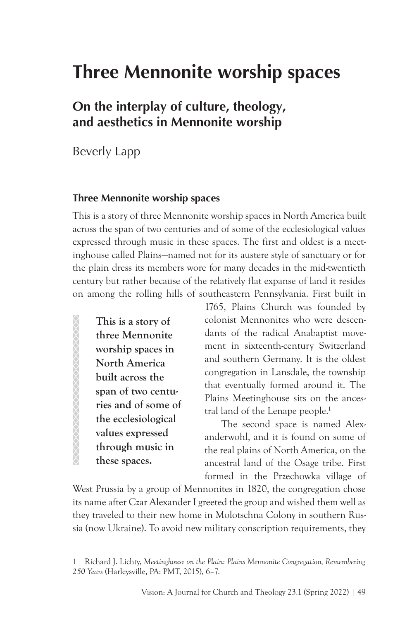# **Three Mennonite worship spaces**

## **On the interplay of culture, theology, and aesthetics in Mennonite worship**

Beverly Lapp

#### **Three Mennonite worship spaces**

This is a story of three Mennonite worship spaces in North America built across the span of two centuries and of some of the ecclesiological values expressed through music in these spaces. The first and oldest is a meetinghouse called Plains—named not for its austere style of sanctuary or for the plain dress its members wore for many decades in the mid-twentieth century but rather because of the relatively flat expanse of land it resides on among the rolling hills of southeastern Pennsylvania. First built in

**This is a story of three Mennonite worship spaces in North America built across the span of two centuries and of some of the ecclesiological values expressed through music in these spaces.**

XXXXXXXXXXXXXXXXXXXX

1765, Plains Church was founded by colonist Mennonites who were descendants of the radical Anabaptist movement in sixteenth-century Switzerland and southern Germany. It is the oldest congregation in Lansdale, the township that eventually formed around it. The Plains Meetinghouse sits on the ancestral land of the Lenape people.<sup>1</sup>

The second space is named Alexanderwohl, and it is found on some of the real plains of North America, on the ancestral land of the Osage tribe. First formed in the Przechowka village of

West Prussia by a group of Mennonites in 1820, the congregation chose its name after Czar Alexander I greeted the group and wished them well as they traveled to their new home in Molotschna Colony in southern Russia (now Ukraine). To avoid new military conscription requirements, they

<sup>1</sup> Richard J. Lichty, *Meetinghouse on the Plain: Plains Mennonite Congregation, Remembering 250 Years* (Harleysville, PA: PMT, 2015), 6–7.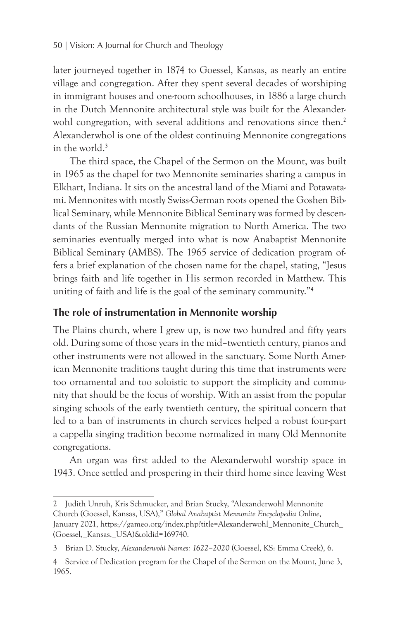later journeyed together in 1874 to Goessel, Kansas, as nearly an entire village and congregation. After they spent several decades of worshiping in immigrant houses and one-room schoolhouses, in 1886 a large church in the Dutch Mennonite architectural style was built for the Alexanderwohl congregation, with several additions and renovations since then.<sup>2</sup> Alexanderwhol is one of the oldest continuing Mennonite congregations in the world.<sup>3</sup>

The third space, the Chapel of the Sermon on the Mount, was built in 1965 as the chapel for two Mennonite seminaries sharing a campus in Elkhart, Indiana. It sits on the ancestral land of the Miami and Potawatami. Mennonites with mostly Swiss-German roots opened the Goshen Biblical Seminary, while Mennonite Biblical Seminary was formed by descendants of the Russian Mennonite migration to North America. The two seminaries eventually merged into what is now Anabaptist Mennonite Biblical Seminary (AMBS). The 1965 service of dedication program offers a brief explanation of the chosen name for the chapel, stating, "Jesus brings faith and life together in His sermon recorded in Matthew. This uniting of faith and life is the goal of the seminary community."4

#### **The role of instrumentation in Mennonite worship**

The Plains church, where I grew up, is now two hundred and fifty years old. During some of those years in the mid–twentieth century, pianos and other instruments were not allowed in the sanctuary. Some North American Mennonite traditions taught during this time that instruments were too ornamental and too soloistic to support the simplicity and community that should be the focus of worship. With an assist from the popular singing schools of the early twentieth century, the spiritual concern that led to a ban of instruments in church services helped a robust four-part a cappella singing tradition become normalized in many Old Mennonite congregations.

An organ was first added to the Alexanderwohl worship space in 1943. Once settled and prospering in their third home since leaving West

<sup>2</sup> Judith Unruh, Kris Schmucker, and Brian Stucky, "Alexanderwohl Mennonite Church (Goessel, Kansas, USA)," *Global Anabaptist Mennonite Encyclopedia Online*, January 2021, https://gameo.org/index.php?title=Alexanderwohl\_Mennonite\_Church\_ (Goessel,\_Kansas,\_USA)&oldid=169740.

<sup>3</sup> Brian D. Stucky, *Alexanderwohl Names: 1622–2020* (Goessel, KS: Emma Creek), 6.

<sup>4</sup> Service of Dedication program for the Chapel of the Sermon on the Mount, June 3, 1965.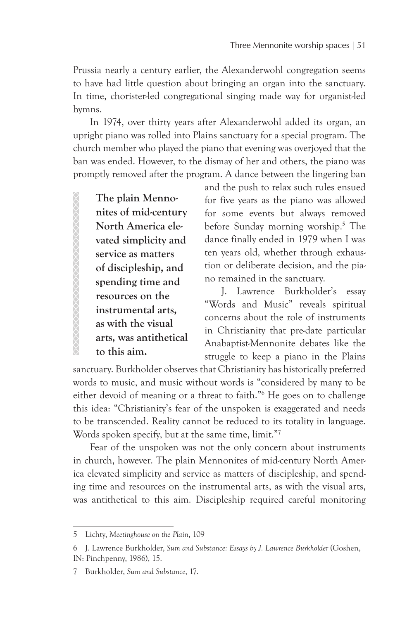Prussia nearly a century earlier, the Alexanderwohl congregation seems to have had little question about bringing an organ into the sanctuary. In time, chorister-led congregational singing made way for organist-led hymns.

In 1974, over thirty years after Alexanderwohl added its organ, an upright piano was rolled into Plains sanctuary for a special program. The church member who played the piano that evening was overjoyed that the ban was ended. However, to the dismay of her and others, the piano was promptly removed after the program. A dance between the lingering ban

**The plain Mennonites of mid-century North America elevated simplicity and service as matters of discipleship, and spending time and resources on the instrumental arts, as with the visual arts, was antithetical to this aim.**

XXXXXXXXXXXXXXXXXXXXXX

and the push to relax such rules ensued for five years as the piano was allowed for some events but always removed before Sunday morning worship.5 The dance finally ended in 1979 when I was ten years old, whether through exhaustion or deliberate decision, and the piano remained in the sanctuary.

J. Lawrence Burkholder's essay "Words and Music" reveals spiritual concerns about the role of instruments in Christianity that pre-date particular Anabaptist-Mennonite debates like the struggle to keep a piano in the Plains

sanctuary. Burkholder observes that Christianity has historically preferred words to music, and music without words is "considered by many to be either devoid of meaning or a threat to faith."6 He goes on to challenge this idea: "Christianity's fear of the unspoken is exaggerated and needs to be transcended. Reality cannot be reduced to its totality in language. Words spoken specify, but at the same time, limit."<sup>7</sup>

Fear of the unspoken was not the only concern about instruments in church, however. The plain Mennonites of mid-century North America elevated simplicity and service as matters of discipleship, and spending time and resources on the instrumental arts, as with the visual arts, was antithetical to this aim. Discipleship required careful monitoring

<sup>5</sup> Lichty, *Meetinghouse on the Plain*, 109

<sup>6</sup> J. Lawrence Burkholder, *Sum and Substance: Essays by J. Lawrence Burkholder* (Goshen, IN: Pinchpenny, 1986), 15.

<sup>7</sup> Burkholder, *Sum and Substance*, 17.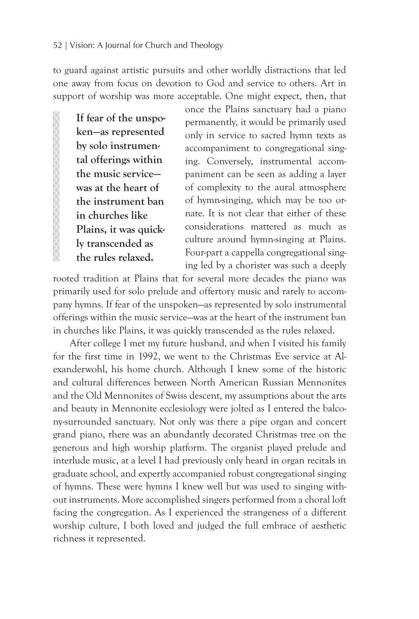to guard against artistic pursuits and other worldly distractions that led one away from focus on devotion to God and service to others. Art in support of worship was more acceptable. One might expect, then, that

**If fear of the unspoken—as represented by solo instrumental offerings within the music service was at the heart of the instrument ban in churches like Plains, it was quickly transcended as the rules relaxed.**

once the Plains sanctuary had a piano permanently, it would be primarily used only in service to sacred hymn texts as accompaniment to congregational singing. Conversely, instrumental accompaniment can be seen as adding a layer of complexity to the aural atmosphere of hymn-singing, which may be too ornate. It is not clear that either of these considerations mattered as much as culture around hymn-singing at Plains. Four-part a cappella congregational singing led by a chorister was such a deeply

rooted tradition at Plains that for several more decades the piano was primarily used for solo prelude and offertory music and rarely to accompany hymns. If fear of the unspoken—as represented by solo instrumental offerings within the music service—was at the heart of the instrument ban in churches like Plains, it was quickly transcended as the rules relaxed.

After college I met my future husband, and when I visited his family for the first time in 1992, we went to the Christmas Eve service at Alexanderwohl, his home church. Although I knew some of the historic and cultural differences between North American Russian Mennonites and the Old Mennonites of Swiss descent, my assumptions about the arts and beauty in Mennonite ecclesiology were jolted as I entered the balcony-surrounded sanctuary. Not only was there a pipe organ and concert grand piano, there was an abundantly decorated Christmas tree on the generous and high worship platform. The organist played prelude and interlude music, at a level I had previously only heard in organ recitals in graduate school, and expertly accompanied robust congregational singing of hymns. These were hymns I knew well but was used to singing without instruments. More accomplished singers performed from a choral loft facing the congregation. As I experienced the strangeness of a different worship culture, I both loved and judged the full embrace of aesthetic richness it represented.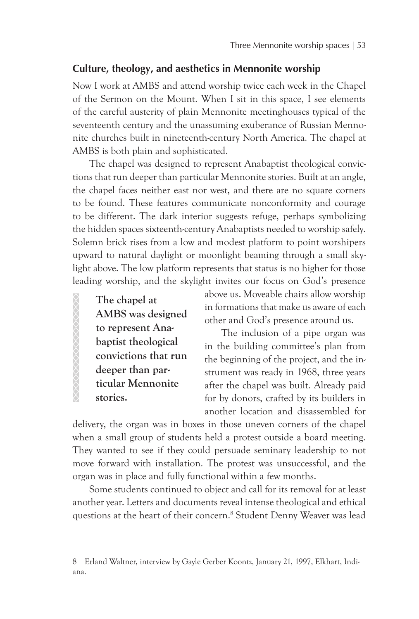#### **Culture, theology, and aesthetics in Mennonite worship**

Now I work at AMBS and attend worship twice each week in the Chapel of the Sermon on the Mount. When I sit in this space, I see elements of the careful austerity of plain Mennonite meetinghouses typical of the seventeenth century and the unassuming exuberance of Russian Mennonite churches built in nineteenth-century North America. The chapel at AMBS is both plain and sophisticated.

The chapel was designed to represent Anabaptist theological convictions that run deeper than particular Mennonite stories. Built at an angle, the chapel faces neither east nor west, and there are no square corners to be found. These features communicate nonconformity and courage to be different. The dark interior suggests refuge, perhaps symbolizing the hidden spaces sixteenth-century Anabaptists needed to worship safely. Solemn brick rises from a low and modest platform to point worshipers upward to natural daylight or moonlight beaming through a small skylight above. The low platform represents that status is no higher for those leading worship, and the skylight invites our focus on God's presence

**The chapel at AMBS was designed to represent Anabaptist theological convictions that run deeper than particular Mennonite stories.**

XXXXXXXXXXXXXXX

above us. Moveable chairs allow worship in formations that make us aware of each other and God's presence around us.

The inclusion of a pipe organ was in the building committee's plan from the beginning of the project, and the instrument was ready in 1968, three years after the chapel was built. Already paid for by donors, crafted by its builders in another location and disassembled for

delivery, the organ was in boxes in those uneven corners of the chapel when a small group of students held a protest outside a board meeting. They wanted to see if they could persuade seminary leadership to not move forward with installation. The protest was unsuccessful, and the organ was in place and fully functional within a few months.

Some students continued to object and call for its removal for at least another year. Letters and documents reveal intense theological and ethical questions at the heart of their concern.<sup>8</sup> Student Denny Weaver was lead

<sup>8</sup> Erland Waltner, interview by Gayle Gerber Koontz, January 21, 1997, Elkhart, Indiana.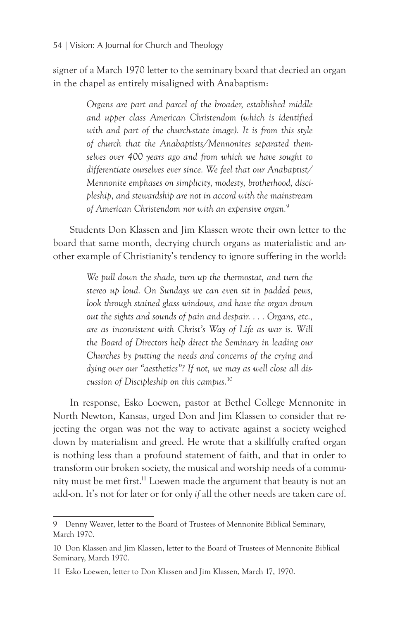signer of a March 1970 letter to the seminary board that decried an organ in the chapel as entirely misaligned with Anabaptism:

> *Organs are part and parcel of the broader, established middle and upper class American Christendom (which is identified*  with and part of the church-state image). It is from this style *of church that the Anabaptists/Mennonites separated themselves over 400 years ago and from which we have sought to differentiate ourselves ever since. We feel that our Anabaptist/ Mennonite emphases on simplicity, modesty, brotherhood, discipleship, and stewardship are not in accord with the mainstream of American Christendom nor with an expensive organ.*<sup>9</sup>

Students Don Klassen and Jim Klassen wrote their own letter to the board that same month, decrying church organs as materialistic and another example of Christianity's tendency to ignore suffering in the world:

> *We pull down the shade, turn up the thermostat, and turn the stereo up loud. On Sundays we can even sit in padded pews, look through stained glass windows, and have the organ drown out the sights and sounds of pain and despair. . . . Organs, etc., are as inconsistent with Christ's Way of Life as war is. Will the Board of Directors help direct the Seminary in leading our Churches by putting the needs and concerns of the crying and dying over our "aesthetics"? If not, we may as well close all discussion of Discipleship on this campus.*<sup>10</sup>

In response, Esko Loewen, pastor at Bethel College Mennonite in North Newton, Kansas, urged Don and Jim Klassen to consider that rejecting the organ was not the way to activate against a society weighed down by materialism and greed. He wrote that a skillfully crafted organ is nothing less than a profound statement of faith, and that in order to transform our broken society, the musical and worship needs of a community must be met first.<sup>11</sup> Loewen made the argument that beauty is not an add-on. It's not for later or for only *if* all the other needs are taken care of.

<sup>9</sup> Denny Weaver, letter to the Board of Trustees of Mennonite Biblical Seminary, March 1970.

<sup>10</sup> Don Klassen and Jim Klassen, letter to the Board of Trustees of Mennonite Biblical Seminary, March 1970.

<sup>11</sup> Esko Loewen, letter to Don Klassen and Jim Klassen, March 17, 1970.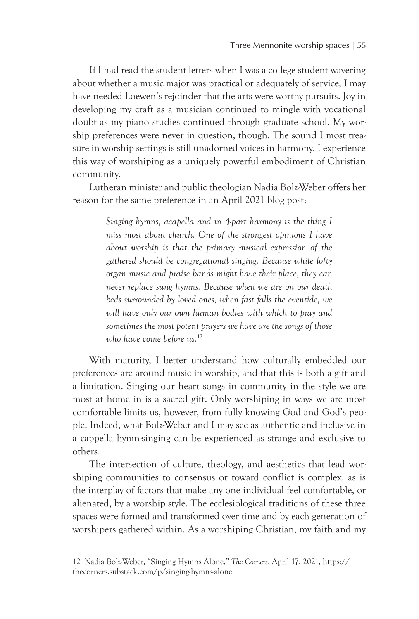If I had read the student letters when I was a college student wavering about whether a music major was practical or adequately of service, I may have needed Loewen's rejoinder that the arts were worthy pursuits. Joy in developing my craft as a musician continued to mingle with vocational doubt as my piano studies continued through graduate school. My worship preferences were never in question, though. The sound I most treasure in worship settings is still unadorned voices in harmony. I experience this way of worshiping as a uniquely powerful embodiment of Christian community.

Lutheran minister and public theologian Nadia Bolz-Weber offers her reason for the same preference in an April 2021 blog post:

> *Singing hymns, acapella and in 4-part harmony is the thing I miss most about church. One of the strongest opinions I have about worship is that the primary musical expression of the gathered should be congregational singing. Because while lofty organ music and praise bands might have their place, they can never replace sung hymns. Because when we are on our death beds surrounded by loved ones, when fast falls the eventide, we will have only our own human bodies with which to pray and sometimes the most potent prayers we have are the songs of those who have come before us.*<sup>12</sup>

With maturity, I better understand how culturally embedded our preferences are around music in worship, and that this is both a gift and a limitation. Singing our heart songs in community in the style we are most at home in is a sacred gift. Only worshiping in ways we are most comfortable limits us, however, from fully knowing God and God's people. Indeed, what Bolz-Weber and I may see as authentic and inclusive in a cappella hymn-singing can be experienced as strange and exclusive to others.

The intersection of culture, theology, and aesthetics that lead worshiping communities to consensus or toward conflict is complex, as is the interplay of factors that make any one individual feel comfortable, or alienated, by a worship style. The ecclesiological traditions of these three spaces were formed and transformed over time and by each generation of worshipers gathered within. As a worshiping Christian, my faith and my

<sup>12</sup> Nadia Bolz-Weber, "Singing Hymns Alone," *The Corners*, April 17, 2021, https:// thecorners.substack.com/p/singing-hymns-alone